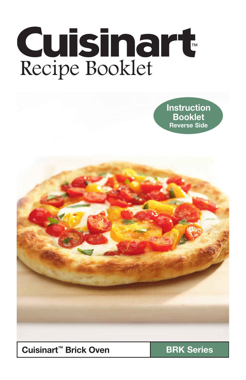# **Cuisinart** Recipe Booklet

**Instruction** Booklet Reverse Side



Cuisinart<sup>™</sup> Brick Oven **BRK** Series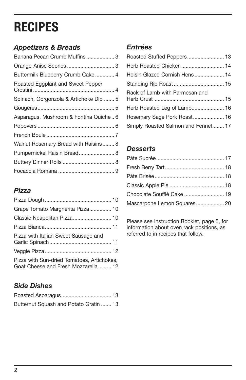## **RECIPES**

#### *Appetizers & Breads*

| Banana Pecan Crumb Muffins3            |  |
|----------------------------------------|--|
|                                        |  |
| Buttermilk Blueberry Crumb Cake  4     |  |
| Roasted Eggplant and Sweet Pepper      |  |
| Spinach, Gorgonzola & Artichoke Dip  5 |  |
|                                        |  |
| Asparagus, Mushroom & Fontina Quiche6  |  |
|                                        |  |
|                                        |  |
| Walnut Rosemary Bread with Raisins 8   |  |
| Pumpernickel Raisin Bread 8            |  |
|                                        |  |
|                                        |  |

#### *Pizza*

| Grape Tomato Margherita Pizza 10                                                  |
|-----------------------------------------------------------------------------------|
| Classic Neapolitan Pizza 10                                                       |
|                                                                                   |
| Pizza with Italian Sweet Sausage and                                              |
|                                                                                   |
| Pizza with Sun-dried Tomatoes, Artichokes,<br>Goat Cheese and Fresh Mozzarella 12 |

#### *Side Dishes*

| Butternut Squash and Potato Gratin  13 |  |
|----------------------------------------|--|

#### *Entrées*

| Hoisin Glazed Cornish Hens 14       |  |
|-------------------------------------|--|
|                                     |  |
| Rack of Lamb with Parmesan and      |  |
| Herb Roasted Leg of Lamb 16         |  |
|                                     |  |
| Simply Roasted Salmon and Fennel 17 |  |

#### *Desserts*

| Chocolate Soufflé Cake  19  |  |
|-----------------------------|--|
| Mascarpone Lemon Squares 20 |  |

Please see Instruction Booklet, page 5, for information about oven rack positions, as referred to in recipes that follow.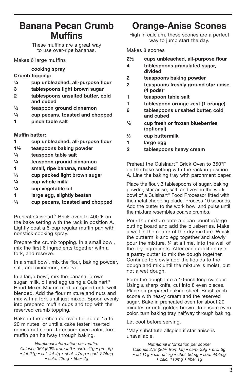#### Banana Pecan Crumb **Muffins**

These muffins are a great way to use over-ripe bananas.

#### Makes 6 large muffins

#### cooking spray

#### Crumb topping:

- ¼ cup unbleached, all-purpose flour
- 3 tablespoons light brown sugar
- 2 tablespoons unsalted butter, cold and cubed
- ½ teaspoon ground cinnamon
- ¼ cup pecans, toasted and chopped
- 1 pinch table salt

#### Muffin batter:

- 1 cup unbleached, all-purpose flour
- 1½ teaspoons baking powder
- ¼ teaspoon table salt
- ¼ teaspoon ground cinnamon
- 1 small, ripe banana, mashed
- ¼ cup packed light brown sugar
- $\frac{1}{4}$  cup whole milk
- ¼ cup vegetable oil
- 1 large egg, slightly beaten
- ¼ cup pecans, toasted and chopped

Preheat Cuisinart™ Brick oven to 400°F on the bake setting with the rack in position A. Lightly coat a 6-cup regular muffin pan with nonstick cooking spray.

Prepare the crumb topping. In a small bowl, mix the first 6 ingredients together with a fork, and reserve.

In a small bowl, mix the flour, baking powder, salt, and cinnamon; reserve.

In a large bowl, mix the banana, brown sugar, milk, oil and egg using a Cuisinart<sup>®</sup> Hand Mixer. Mix on medium speed until well blended. Add the flour mixture and nuts and mix with a fork until just mixed. Spoon evenly into prepared muffin cups and top with the reserved crumb topping.

Bake in the preheated oven for about 15 to 20 minutes, or until a cake tester inserted comes out clean. To ensure even color, turn muffin pan halfway through baking.

*Nutritional information per muffin:*  Calories 364 (50% from fat) • carb. 41g • pro. 5g • fat 21g • sat. fat 4g • chol. 47mg • sod. 274mg • calc. 42mg • fiber 2q

#### Orange-Anise Scones

High in calcium, these scones are a perfect way to jump start the day.

#### Makes 8 scones

| $2\frac{1}{2}$ | cups unbleached, all-purpose flour |  |  |
|----------------|------------------------------------|--|--|
|----------------|------------------------------------|--|--|

- 4 tablespoons granulated sugar, divided
- 2 teaspoons baking powder
- 2 teaspoons freshly ground star anise (4 pods)\*
- 1 teaspoon table salt
- 1 tablespoon orange zest (1 orange)
- 6 tablespoons unsalted butter, cold and cubed
- 1⁄3 cup fresh or frozen blueberries (optional)
- 2⁄3 cup buttermilk
- 1 large egg
- 2 tablespoons heavy cream

Preheat the Cuisinart™ Brick Oven to 350°F on the bake setting with the rack in position A. Line the baking tray with parchment paper.

Place the flour, 3 tablespoons of sugar, baking powder, star anise, salt, and zest in the work bowl of a Cuisinart® Food Processor fitted with the metal chopping blade. Process 10 seconds. Add the butter to the work bowl and pulse until the mixture resembles coarse crumbs.

Pour the mixture onto a clean counter/large cutting board and add the blueberries. Make a well in the center of the dry mixture. Whisk the buttermilk and egg together and slowly pour the mixture, ¼ at a time, into the well of the dry ingredients. After each addition use a pastry cutter to mix the dough together. Continue to slowly add the liquids to the dough and mix until the mixture is moist, but not a wet dough.

Form the dough into a 10-inch long cylinder. Using a sharp knife, cut into 8 even pieces. Place on prepared baking sheet. Brush each scone with heavy cream and the reserved sugar. Bake in preheated oven for about 20 minutes or until golden brown. To ensure even color, turn baking tray halfway through baking.

Let cool before serving.

\*May substitute allspice if star anise is unavailable.

Nutritional information per scone: Calories 278 (36% from fat) • carb. 39g • pro. 6g • fat 11g • sat. fat 7g • chol. 56mg • sod. 448mg • calc. 110mg • fiber 1g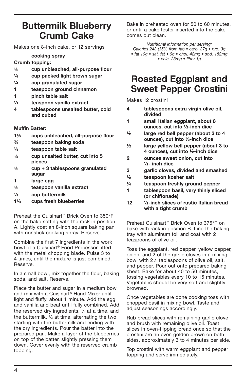#### Buttermilk Blueberry Crumb Cake

Makes one 8-inch cake, or 12 servings

#### cooking spray

#### Crumb topping:

- ½ cup unbleached, all-purpose flour
- ¼ cup packed light brown sugar
- ¼ cup granulated sugar
- 1 teaspoon ground cinnamon
- 1 pinch table salt
- ½ teaspoon vanilla extract
- 4 tablespoons unsalted butter, cold and cubed

#### Muffin Batter:

- 11⁄3 cups unbleached, all-purpose flour
- ¾ teaspoon baking soda
- ¼ teaspoon table salt
- 1⁄3 cup unsalted butter, cut into 5 pieces
- $\frac{1}{2}$  cup + 3 tablespoons granulated sugar
- 1 large egg
- ½ teaspoon vanilla extract
- $\frac{1}{3}$  cup buttermilk
- 1¼ cups fresh blueberries

Preheat the Cuisinart™ Brick Oven to 350°F on the bake setting with the rack in position A. Lightly coat an 8-inch square baking pan with nonstick cooking spray. Reserve.

Combine the first 7 ingredients in the work bowl of a Cuisinart® Food Processor fitted with the metal chopping blade. Pulse 3 to 4 times, until the mixture is just combined. Reserve.

In a small bowl, mix together the flour, baking soda, and salt. Reserve.

Place the butter and sugar in a medium bowl and mix with a Cuisinart® Hand Mixer until light and fluffy, about 1 minute. Add the egg and vanilla and beat until fully combined. Add the reserved dry ingredients,  $\frac{1}{3}$  at a time, and the buttermilk,  $\frac{1}{3}$  at time, alternating the two starting with the buttermilk and ending with the dry ingredients. Pour the batter into the prepared pan. Make a layer of the blueberries on top of the batter, slightly pressing them down. Cover evenly with the reserved crumb topping.

Bake in preheated oven for 50 to 60 minutes, or until a cake tester inserted into the cake comes out clean.

Nutritional information per serving: Calories 243 (35% from fat) • carb. 37g • pro. 3g • fat 10g • sat. fat • 6g • chol. 42mg • sod. 182mg • calc. 23mg • fiber 1g

#### Roasted Eggplant and Sweet Pepper Crostini

Makes 12 crostini

- 4 tablespoons extra virgin olive oil, divided 1 small Italian eggplant, about 8
- ounces, cut into ½-inch dice
- ½ large red bell pepper (about 3 to 4 ounces), cut into ½-inch dice
- ½ large yellow bell pepper (about 3 to 4 ounces), cut into ½-inch dice
- 2 ounces sweet onion, cut into ½- inch dice
- 3 garlic cloves, divided and smashed
- ½ teaspoon kosher salt
- ¼ teaspoon freshly ground pepper
- 1 tablespoon basil, very thinly sliced (or chiffonade)
- 12 ½-inch slices of rustic Italian bread with a tight crumb

Preheat Cuisinart™ Brick Oven to 375°F on bake with rack in position B. Line the baking tray with aluminum foil and coat with 2 teaspoons of olive oil.

Toss the eggplant, red pepper, yellow pepper, onion, and 2 of the garlic cloves in a mixing bowl with 2½ tablespoons of olive oil, salt, and pepper. Pour out onto prepared baking sheet. Bake for about 40 to 50 minutes, tossing vegetables every 10 to 15 minutes. Vegetables should be very soft and slightly browned.

Once vegetables are done cooking toss with chopped basil in mixing bowl. Taste and adjust seasonings accordingly.

Rub bread slices with remaining garlic clove and brush with remaining olive oil. Toast slices in oven-flipping bread once so that the crostini are an even golden brown on both sides, approximately 3 to 4 minutes per side.

Top crostini with warm eggplant and pepper topping and serve immediately.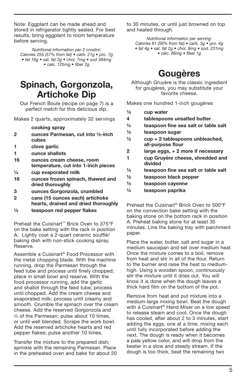Note: Eggplant can be made ahead and stored in refrigerator tightly sealed. For best results, bring eggplant to room temperature before serving.

Nutritional information per 2 crostini: Calories 255 (57% from fat) • carb. 21g • pro. 7g • fat 16g • sat. fat 3g • chol. 7mg • sod 384mg • calc. 125mg • fiber 2g

#### Spinach, Gorgonzola, Artichoke Dip

Our French Boule (recipe on page 7) is a perfect match for this delicious dip.

Makes 2 quarts, approximately 32 servings

cooking spray

- 2 ounces Parmesan, cut into ½-inch cubes
- 1 clove garlic
- 1 ounce shallots
- 16 ounces cream cheese, room temperature, cut into 1-inch pieces
- ¼ cup evaporated milk
- 16 ounces frozen spinach, thawed and dried thoroughly
- 3 ounces Gorgonzola, crumbled
- 2 cans (15 ounces each) artichoke hearts, drained and dried thoroughly
- $\frac{1}{2}$  teaspoon red pepper flakes

Preheat the Cuisinart™ Brick Oven to 375°F on the bake setting with the rack in position A. Lightly coat a 2-quart ceramic soufflé/ baking dish with non-stick cooking spray. Reserve.

Assemble a Cuisinart® Food Processor with the metal chopping blade. With the machine running, drop the Parmesan through the feed tube and process until finely chopped; place in small bowl and reserve. With the food processor running, add the garlic and shallot through the feed tube; process until chopped. Add the cream cheese and evaporated milk; process until creamy and smooth. Crumble the spinach over the cream cheese. Add the reserved Gorgonzola and 2⁄3 of the Parmesan; pulse about 10 times, or until well blended. Scrape the work bowl. Add the reserved artichoke hearts and red pepper flakes; pulse another 10 times.

Transfer the mixture to the prepared dish; sprinkle with the remaining Parmesan. Place in the preheated oven and bake for about 20 to 30 minutes, or until just browned on top and heated through.

Nutritional information per serving: Calories 61 (56% from fat) • carb. 3g • pro. 4g • fat 4g • sat. fat 2g • chol. 9mg • sod. 231mg • calc. 86mg • fiber 1g

## Gougères

Although Gruyère is the classic ingredient for gougères, you may substitute your favorite cheese.

Makes one hundred 1-inch gougères

- ½ cup water
- 4 tablespoons unsalted butter
- ¼ teaspoon fine sea salt or table salt
- ½ teaspoon sugar
- $\frac{1}{2}$  cup + 2 tablespoons unbleached, all-purpose flour
- 2 large eggs, + 2 more if necessary
- 1 cup Gruyère cheese, shredded and divided
- ¼ teaspoon fine sea salt or table salt
- $\frac{1}{2}$  teaspoon black pepper
- ½ teaspoon cayenne
- ¼ teaspoon paprika

Preheat the Cuisinart® Brick Oven to 500°F on the convection bake setting with the baking stone on the bottom rack in position A. Preheat baking stone for at least 30 minutes. Line the baking tray with parchment paper.

Place the water, butter, salt and sugar in a medium saucepan and set over medium heat. Once the mixture comes to a boil, remove from heat and stir in all of the flour. Return to the burner and raise the heat to mediumhigh. Using a wooden spoon, continuously stir the mixture until it dries out. You will know it is done when the dough leaves a thick hard film on the bottom of the pot.

Remove from heat and put mixture into a medium-large mixing bowl. Beat the dough with a Cuisinart® Hand Mixer on a low speed to release steam and cool. Once the dough has cooled, after about 2 to 3 minutes, start adding the eggs, one at a time, mixing each until fully incorporated before adding the next. The dough is ready when it becomes a pale yellow color, and will drop from the beater in a slow and steady stream. If the dough is too thick, beat the remaining two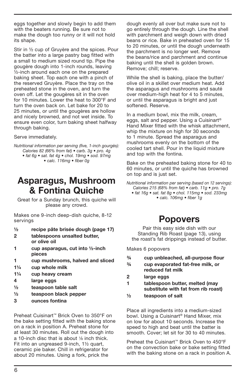eggs together and slowly begin to add them with the beaters running. Be sure not to make the dough too runny or it will not hold its shape.

Stir in ½ cup of Gruyère and the spices. Pour the batter into a large pastry bag fitted with a small to medium sized round tip. Pipe the gougère dough into 1-inch rounds, leaving ½-inch around each one on the prepared baking sheet. Top each one with a pinch of the reserved Gruyère. Place the tray on the preheated stone in the oven, and turn the oven off. Let the gougères sit in the oven for 10 minutes. Lower the heat to 300°F and turn the oven back on. Let bake for 20 to 25 minutes, or until the gougères are hollow and nicely browned, and not wet inside. To ensure even color, turn baking sheet halfway through baking.

Serve immediately.

Nutritional information per serving (five, 1-inch gourgès): Calories 82 (66% from fat) • carb. 3g • pro. 4g • fat 6g • sat. fat 4g • chol. 19mg • sod. 97mg • calc. 116mg • fiber 0g

#### Asparagus, Mushroom & Fontina Quiche

Great for a Sunday brunch, this quiche will please any crowd.

Makes one 9-inch deep-dish quiche, 8-12 servings

- ½ recipe pâte brisée dough (page 17)
- 2 tablespoons unsalted butter, or olive oil
- 1 cup asparagus, cut into ½-inch pieces
- 1 cup mushrooms, halved and sliced
- 1¼ cup whole milk
- 1¼ cup heavy cream
- 4 large eggs
- ½ teaspoon table salt
- ½ teaspoon black pepper
- 3 ounces fontina

Preheat Cuisinart™ Brick Oven to 350°F on the bake setting fitted with the baking stone on a rack in position A. Preheat stone for at least 30 minutes. Roll out the dough into a 10-inch disc that is about 1/8 inch thick. Fit into an ungreased 9-inch, 1½ quart, ceramic pie baker. Chill in refrigerator for about 20 minutes. Using a fork, prick the

dough evenly all over but make sure not to go entirely through the dough. Line the shell with parchment and weigh down with dried beans or rice. Bake in preheated oven for 15 to 20 minutes, or until the dough underneath the parchment is no longer wet. Remove the beans/rice and parchment and continue baking until the shell is golden brown. Remove; chill; reserve.

While the shell is baking, place the butter/ olive oil in a skillet over medium heat. Add the asparagus and mushrooms and sauté over medium-high heat for 4 to 5 minutes, or until the asparagus is bright and just softened. Reserve.

In a medium bowl, mix the milk, cream, eggs, salt and pepper. Using a Cuisinart® Hand Mixer fitted with the whisk attachment, whip the mixture on high for 30 seconds to 1 minute. Spread the asparagus and mushrooms evenly on the bottom of the cooled tart shell. Pour in the liquid mixture and top with the fontina.

Bake on the preheated baking stone for 40 to 60 minutes, or until the quiche has browned on top and is just set.

Nutritional information per serving (based on 12 servings): Calories 215 (68% from fat) • carb. 11g • pro. 7g

• fat 16g • sat. fat 8g • chol. 115mg • sod. 233mg • calc. 106mg • fiber 1g

#### Popovers

Pair this easy side dish with our Standing Rib Roast (page 13), using the roast's fat drippings instead of butter.

Makes 6 popovers

- ¾ cup unbleached, all-purpose flour
- ¾ cup evaporated fat-free milk, or reduced fat milk
- 2 large eggs

1 tablespoon butter, melted (may substitute with fat from rib roast)

½ teaspoon of salt

Place all ingredients into a medium-sized bowl. Using a Cuisinart® Hand Mixer, mix on low for about 10 seconds. Increase the speed to high and beat until the batter is smooth. Cover; let sit for 30 to 40 minutes.

Preheat the Cuisinart™ Brick Oven to 450°F on the convection bake or bake setting fitted with the baking stone on a rack in position A.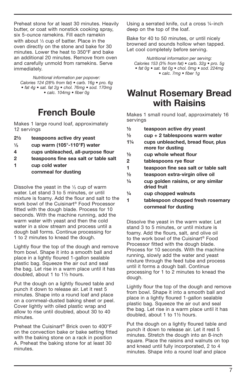Preheat stone for at least 30 minutes. Heavily butter, or coat with nonstick cooking spray, six 5-ounce ramekins. Fill each ramekin with about  $1/3$  cup of batter. Place in the oven directly on the stone and bake for 30 minutes. Lower the heat to 350°F and bake an additional 20 minutes. Remove from oven and carefully unmold from ramekins. Serve immediately.

*Nutritional information per popover:*  Calories 124 (28% from fat) • carb. 16g • pro. 6g • fat 4g • sat. fat 2g • chol. 76mg • sod. 170mg • calc. 104mg • fiber 0g

## French Boule

Makes 1 large round loaf, approximately 12 servings

- 2½ teaspoons active dry yeast
- $\frac{1}{3}$  cup warm (105°-110°F) water
- 4 cups unbleached, all-purpose flour
- 2 teaspoons fine sea salt or table salt
- 1 cup cold water cornmeal for dusting

Dissolve the yeast in the  $\frac{1}{3}$  cup of warm water. Let stand 3 to 5 minutes, or until mixture is foamy. Add the flour and salt to the work bowl of the Cuisinart® Food Processor fitted with the dough blade. Process for 10 seconds. With the machine running, add the warm water with yeast and then the cold water in a slow stream and process until a dough ball forms. Continue processing for 1 to 2 minutes to knead the dough.

Lightly flour the top of the dough and remove from bowl. Shape it into a smooth ball and place in a lightly floured 1-gallon sealable plastic bag. Squeeze the air out and seal the bag. Let rise in a warm place until it has doubled, about 1 to 1½ hours.

Put the dough on a lightly floured table and punch it down to release air. Let it rest 5 minutes. Shape into a round loaf and place on a cornmeal-dusted baking sheet or peel. Cover lightly with oiled plastic wrap and allow to rise until doubled, about 30 to 40 minutes.

Preheat the Cuisinart® Brick oven to 400°F on the convection bake or bake setting fitted with the baking stone on a rack in position A. Preheat the baking stone for at least 30 minutes.

Using a serrated knife, cut a cross ¼-inch deep on the top of the loaf.

Bake for 40 to 50 minutes, or until nicely browned and sounds hollow when tapped. Let cool completely before serving.

Nutritional information per serving: Calories 153 (3% from fat) • carb. 32g • pro. 5g • fat 0g • sat. fat 0g • chol. 0mg • sod. 224mg • calc. 7mg • fiber 1g

#### Walnut Rosemary Bread with Raisins

Makes 1 small round loaf, approximately 16 servings

- ½ teaspoon active dry yeast
- $\frac{1}{2}$  cup + 2 tablespoons warm water
- 1¼ cups unbleached, bread flour, plus more for dusting
- $\frac{1}{2}$  cup whole wheat flour
- 2 tablespoons rye flour
- 1 teaspoon fine sea salt or table salt
- ½ teaspoon extra-virgin olive oil
- ¼ cup golden raisins, or any similar dried fruit
- $\frac{1}{4}$  cup chopped walnuts
- 1 tablespoon chopped fresh rosemary cornmeal for dusting

Dissolve the yeast in the warm water. Let stand 3 to 5 minutes, or until mixture is foamy. Add the flours, salt, and olive oil to the work bowl of the Cuisinart® Food Processor fitted with the dough blade. Process for 10 seconds. With the machine running, slowly add the water and yeast mixture through the feed tube and process until it forms a dough ball. Continue processing for 1 to 2 minutes to knead the dough.

Lightly flour the top of the dough and remove from bowl. Shape it into a smooth ball and place in a lightly floured 1-gallon sealable plastic bag. Squeeze the air out and seal the bag. Let rise in a warm place until it has doubled, about 1 to 1½ hours.

Put the dough on a lightly floured table and punch it down to release air. Let it rest 5 minutes. Stretch the dough into an 8-inch square. Place the raisins and walnuts on top and knead until fully incorporated, 2 to 4 minutes. Shape into a round loaf and place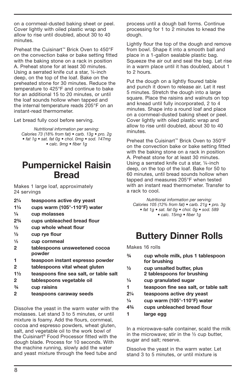on a cornmeal-dusted baking sheet or peel. Cover lightly with oiled plastic wrap and allow to rise until doubled, about 30 to 40 minutes.

Preheat the Cuisinart™ Brick Oven to 450°F on the convection bake or bake setting fitted with the baking stone on a rack in position A. Preheat stone for at least 30 minutes. Using a serrated knife cut a star, ¼-inch deep, on the top of the loaf. Bake on the preheated stone for 30 minutes. Reduce the temperature to 425°F and continue to bake for an additional 15 to 20 minutes, or until the loaf sounds hollow when tapped and the internal temperature reads 205°F on an instant-read thermometer.

Let bread fully cool before serving.

Nutritional information per serving: Calories 73 (18% from fat) • carb. 13g • pro. 2g • fat 1g • sat. fat 0g • chol. 0mg • sod. 147mg • calc. 9mg • fiber 1g

#### Pumpernickel Raisin Bread

Makes 1 large loaf, approximately 24 servings

- 2¼ teaspoons active dry yeast
- 1¼ cups warm (105°-110°F) water
- ¼ cup molasses
- 2¾ cups unbleached bread flour
- ½ cup whole wheat flour
- $\frac{1}{2}$  cup rye flour
- 1⁄3 cup cornmeal
- 2 tablespoons unsweetened cocoa powder
- 1 teaspoon instant espresso powder
- 2 tablespoons vital wheat gluten
- 1½ teaspoons fine sea salt, or table salt
- 2 tablespoons vegetable oil
- ¾ cup raisins
- 2 teaspoons caraway seeds

Dissolve the yeast in the warm water with the molasses. Let stand 3 to 5 minutes, or until mixture is foamy. Add the flours, cornmeal, cocoa and espresso powders, wheat gluten, salt, and vegetable oil to the work bowl of the Cuisinart® Food Processor fitted with the dough blade. Process for 10 seconds. With the machine running, slowly add the water and yeast mixture through the feed tube and

process until a dough ball forms. Continue processing for 1 to 2 minutes to knead the dough.

Lightly flour the top of the dough and remove from bowl. Shape it into a smooth ball and place in a 1-gallon sealable plastic bag. Squeeze the air out and seal the bag. Let rise in a warm place until it has doubled, about 1 to 2 hours.

Put the dough on a lightly floured table and punch it down to release air. Let it rest 5 minutes. Stretch the dough into a large square. Place the raisins and walnuts on top and knead until fully incorporated, 2 to 4 minutes. Shape into a round loaf and place on a cornmeal-dusted baking sheet or peel. Cover lightly with oiled plastic wrap and allow to rise until doubled, about 30 to 40 minutes.

Preheat the Cuisinart™ Brick Oven to 350°F on the convection bake or bake setting fitted with the baking stone on a rack in position A. Preheat stone for at least 30 minutes. Using a serrated knife cut a star, ¼-inch deep, on the top of the loaf. Bake for 50 to 60 minutes, until bread sounds hollow when tapped and measures 205°F when tested with an instant read thermometer. Transfer to a rack to cool.

Nutritional information per serving: Calories 105 (12% from fat) • carb. 21g • pro. 3g • fat 1g • sat. fat 0g • chol. 0g • sod. 589 • calc. 15mg • fiber 1g

#### Buttery Dinner Rolls

Makes 16 rolls

| $\frac{3}{4}$ | cup whole milk, plus 1 tablespoon |
|---------------|-----------------------------------|
|               | for brushing                      |
| 1/2           | oun uncolted butter plue          |

- ½ cup unsalted butter, plus 2 tablespoons for brushing
- ¼ cup granulated sugar
- 1 teaspoon fine sea salt, or table salt
- 2¼ teaspoons active dry yeast
- $\frac{1}{4}$  cup warm (105°-110°F) water
- 4¾ cups unbleached bread flour
- 1 large egg

In a microwave-safe container, scald the milk in the microwave; stir in the  $\frac{1}{2}$  cup butter, sugar and salt; reserve.

Dissolve the yeast in the warm water. Let stand 3 to 5 minutes, or until mixture is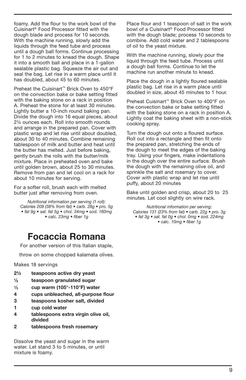foamy. Add the flour to the work bowl of the Cuisinart® Food Processor fitted with the dough blade and process for 10 seconds. With the machine running, slowly add the liquids through the feed tube and process until a dough ball forms. Continue processing for 1 to 2 minutes to knead the dough. Shape it into a smooth ball and place in a 1-gallon sealable plastic bag. Squeeze the air out and seal the bag. Let rise in a warm place until it has doubled, about 45 to 60 minutes.

Preheat the Cuisinart™ Brick Oven to 450°F on the convection bake or bake setting fitted with the baking stone on a rack in position A. Preheat the stone for at least 30 minutes. Lightly butter a 10-inch round baking pan. Divide the dough into 16 equal pieces, about 2¼ ounces each. Roll into smooth rounds and arrange in the prepared pan. Cover with plastic wrap and let rise until about doubled, about 30 to 40 minutes. Combine remaining tablespoon of milk and butter and heat until the butter has melted. Just before baking, gently brush the rolls with the butter/milk mixture. Place in preheated oven and bake until golden brown, about 25 to 30 minutes. Remove from pan and let cool on a rack for about 10 minutes for serving.

For a softer roll, brush each with melted butter just after removing from oven.

Nutritional information per serving (1 roll): Calories 209 (38% from fat) • carb. 28g • pro. 5g • fat 9g • sat. fat 5g • chol. 34mg • sod. 160mg • calc. 23mg • fiber 1g

#### Focaccia Romana

For another version of this Italian staple,

throw on some chopped kalamata olives.

#### Makes 18 servings

- 2½ teaspoons active dry yeast
- 1⁄8 teaspoon granulated sugar
- $\frac{1}{3}$  cup warm (105°-110°F) water
- 4 cups unbleached, all-purpose flour
- 3 teaspoons kosher salt, divided
- 1 cup cold water
- 4 tablespoons extra virgin olive oil, divided
- 2 tablespoons fresh rosemary

Dissolve the yeast and sugar in the warm water. Let stand 3 to 5 minutes, or until mixture is foamy.

Place flour and 1 teaspoon of salt in the work bowl of a Cuisinart® Food Processor fitted with the dough blade; process 10 seconds to combine. Add cold water and 2 tablespoons of oil to the yeast mixture.

With the machine running, slowly pour the liquid through the feed tube. Process until a dough ball forms. Continue to let the machine run another minute to knead.

Place the dough in a lightly floured sealable plastic bag. Let rise in a warm place until doubled in size, about 45 minutes to 1 hour.

Preheat Cuisinart™ Brick Oven to 400°F on the convection bake or bake setting fitted with the baking stone on a rack in position A. Lightly coat the baking sheet with a non-stick cooking spray.

Turn the dough out onto a floured surface. Roll out into a rectangle and then fit onto the prepared pan, stretching the ends of the dough to meet the edges of the baking tray. Using your fingers, make indentations in the dough over the entire surface. Brush the dough with the remaining olive oil, and sprinkle the salt and rosemary to cover. Cover with plastic wrap and let rise until puffy, about 20 minutes

Bake until golden and crisp, about 20 to 25 minutes. Let cool slightly on wire rack.

Nutritional information per serving: Calories 131 (23% from fat) • carb. 22g • pro. 3g • fat 3g • sat. fat 0g • chol. 0mg • sod. 224mg • calc. 10mg • fiber 1g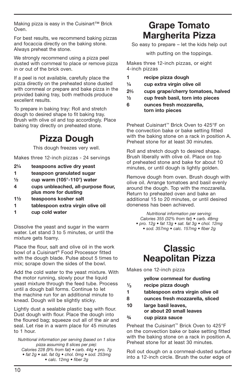Making pizza is easy in the Cuisinart™ Brick Oven.

For best results, we recommend baking pizzas and focaccia directly on the baking stone. Always preheat the stone.

We strongly recommend using a pizza peel dusted with cornmeal to place or remove pizza in or out of the brick oven.

If a peel is not available, carefully place the pizza directly on the preheated stone dusted with cornmeal or prepare and bake pizza in the provided baking tray, both methods produce excellent results.

To prepare in baking tray: Roll and stretch dough to desired shape to fit baking tray. Brush with olive oil and top accordingly. Place baking tray directly on preheated stone.

## Pizza Dough

This dough freezes very well.

Makes three 12-inch pizzas - 24 servings

- 2¼ teaspoons active dry yeast
- 1 teaspoon granulated sugar
- $\frac{1}{2}$  cup warm (105°-110°) water
- 4 cups unbleached, all-purpose flour, plus more for dusting
- 1½ teaspoons kosher salt
- 1 tablespoon extra virgin olive oil
- 1 cup cold water

Dissolve the yeast and sugar in the warm water. Let stand 3 to 5 minutes, or until the mixture gets foamy.

Place the flour, salt and olive oil in the work bowl of a Cuisinart® Food Processor fitted with the dough blade. Pulse about 5 times to mix; scrape down the sides of the bowl.

Add the cold water to the yeast mixture. With the motor running, slowly pour the liquid yeast mixture through the feed tube. Process until a dough ball forms. Continue to let the machine run for an additional minute to knead. Dough will be slightly sticky.

Lightly dust a sealable plastic bag with flour. Dust dough with flour. Place the dough into the floured bag; squeeze out all of the air and seal. Let rise in a warm place for 45 minutes to 1 hour.

Nutritional information per serving (based on 1 slice pizza assuming 8 slices per pie): Calories 228 (9% from fat) • carb. 44g • pro. 7g • fat 2g • sat. fat 0g • chol. 0mg • sod. 253mg • calc. 12mg • fiber 2g

#### Grape Tomato Margherita Pizza

So easy to prepare – let the kids help out

with putting on the toppings.

Makes three 12-inch pizzas, or eight 4-inch pizzas

- 1 recipe pizza dough
- ¼ cup extra virgin olive oil
- 22⁄3 cups grape/cherry tomatoes, halved
- ½ cup fresh basil, torn into pieces
- 6 ounces fresh mozzarella, torn into pieces

Preheat Cuisinart™ Brick Oven to 425°F on the convection bake or bake setting fitted with the baking stone on a rack in position A. Preheat stone for at least 30 minutes.

Roll and stretch dough to desired shape. Brush liberally with olive oil. Place on top of preheated stone and bake for about 10 minutes, or until dough is lightly golden.

Remove dough from oven. Brush dough with olive oil. Arrange tomatoes and basil evenly around the dough. Top with the mozzarella. Return to preheated oven and bake an additional 15 to 20 minutes, or until desired doneness has been achieved.

Nutritional information per serving: Calories 355 (32% from fat) • carb. 48mg • pro. 12g • fat 13g • sat. fat 3g • chol. 12mg • sod. 357mg • calc. 157mg • fiber 2g

### Classic Neapolitan Pizza

Makes one 12-inch pizza

|               | yellow cornmeal for dusting                     |
|---------------|-------------------------------------------------|
| $\frac{1}{3}$ | recipe pizza dough                              |
| 1             | tablespoon extra virgin olive oil               |
| 8             | ounces fresh mozzarella, sliced                 |
| 10            | large basil leaves,<br>or about 20 small leaves |
|               |                                                 |

#### ¾ cup pizza sauce

Preheat the Cuisinart™ Brick Oven to 425°F on the convection bake or bake setting fitted with the baking stone on a rack in position A. Preheat stone for at least 30 minutes.

Roll out dough on a cornmeal-dusted surface into a 12-inch circle. Brush the outer edge of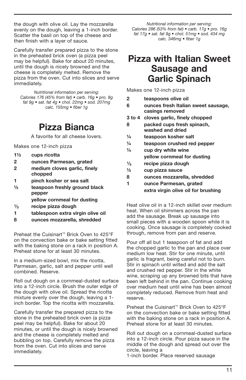the dough with olive oil. Lay the mozzarella evenly on the dough, leaving a 1-inch border. Scatter the basil on top of the cheese and then finish with a layer of sauce.

Carefully transfer prepared pizza to the stone in the preheated brick oven (a pizza peel may be helpful). Bake for about 20 minutes, until the dough is nicely browned and the cheese is completely melted. Remove the pizza from the oven. Cut into slices and serve immediately.

Nutritional information per serving: Calories 176 (45% from fat) • carb. 16g • pro. 8g fat 9g  $\bullet$  sat. fat 4g  $\bullet$  chol. 22mg  $\bullet$  sod. 207mg calc. 155mg • fiber 1g

#### Pizza Bianca

A favorite for all cheese lovers.

Makes one 12-inch pizza

- 1½ cups ricotta
- 2 ounces Parmesan, grated
- 2 medium cloves garlic, finely chopped
- 1 pinch kosher or sea salt
- ½ teaspoon freshly ground black pepper
	- yellow cornmeal for dusting
- *1*⁄<sub>3</sub> recipe pizza dough<br>1 tablespoon extra vi
- tablespoon extra virgin olive oil
- 8 ounces mozzarella, shredded

Preheat the Cuisinart™ Brick Oven to 425°F on the convection bake or bake setting fitted with the baking stone on a rack in position A. Preheat stone for at least 30 minutes.

In a medium-sized bowl, mix the ricotta, Parmesan, garlic, salt and pepper until well combined. Reserve.

Roll out dough on a cornmeal-dusted surface into a 12-inch circle. Brush the outer edge of the dough with olive oil. Spread the ricotta mixture evenly over the dough, leaving a 1 inch border. Top the ricotta with mozzarella.

Carefully transfer the prepared pizza to the stone in the preheated brick oven (a pizza peel may be helpful). Bake for about 20 minutes, or until the dough is nicely browned and the cheese is completely melted and bubbling on top. Carefully remove the pizza from the oven. Cut into slices and serve immediately.

Nutritional information per serving: Calories 286 (53% from fat) • carb. 17g • pro. 16g fat 17g • sat. fat 9g • chol. 51mg • sod. 434 mg calc. 346mg • fiber 1g

#### Pizza with Italian Sweet Sausage and Garlic Spinach

Makes one 12-inch pizza

- 2 teaspoons olive oil 6 ounces fresh Italian sweet sausage, casings removed
- 3 to 4 cloves garlic, finely chopped
- 8 packed cups fresh spinach, washed and dried
- ¼ teaspoon kosher salt
- ¼ teaspoon crushed red pepper
- $\frac{1}{4}$  cup dry white wine
	- yellow cornmeal for dusting
- $\frac{1}{3}$  recipe pizza dough<br> $\frac{1}{2}$  cun pizza sauce
- ½ cup pizza sauce
- 8 ounces mozzarella, shredded
- 1 ounce Parmesan, grated extra virgin olive oil for brushing

Heat olive oil in a 12-inch skillet over medium heat. When oil shimmers across the pan add the sausage. Break up sausage into small pieces with a wooden spoon while it is cooking. Once sausage is completely cooked through, remove from pan and reserve.

Pour off all but 1 teaspoon of fat and add the chopped garlic to the pan and place over medium low heat. Stir for one minute, until garlic is fragrant, being careful not to burn. Stir in spinach until wilted and add the salt and crushed red pepper. Stir in the white wine, scraping up any browned bits that have been left behind in the pan. Continue cooking over medium heat until wine has been almost completely reduced. Remove from heat and reserve.

Preheat the Cuisinart™ Brick Oven to 425°F on the convection bake or bake setting fitted with the baking stone on a rack in position A. Preheat stone for at least 30 minutes.

Roll out dough on a cornmeal-dusted surface into a 12-inch circle. Pour pizza sauce in the middle of the dough and spread out over the circle, leaving a

1-inch border. Place reserved sausage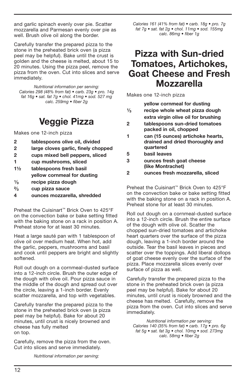and garlic spinach evenly over pie. Scatter mozzarella and Parmesan evenly over pie as well. Brush olive oil along the border.

Carefully transfer the prepared pizza to the stone in the preheated brick oven (a pizza peel may be helpful). Bake until the crust is golden and the cheese is melted, about 15 to 20 minutes. Using the pizza peel, remove the pizza from the oven. Cut into slices and serve immediately.

Nutritional information per serving: Calories 298 (48% from fat) • carb. 23g • pro. 14g fat 16g • sat. fat 7g • chol. 41mg • sod. 527 mg calc. 259mg • fiber 2g

#### Veggie Pizza

Makes one 12-inch pizza

- 2 tablespoons olive oil, divided
- 2 large cloves garlic, finely chopped
- 2 cups mixed bell peppers, sliced
- 1 cup mushrooms, sliced
- 1½ tablespoons fresh basil yellow cornmeal for dusting
- $\frac{1}{3}$  recipe pizza dough<br> $\frac{2}{3}$  cup pizza sauce
- $\frac{2}{3}$  cup pizza sauce<br>4 ounces mozzare
- ounces mozzarella, shredded

Preheat the Cuisinart™ Brick Oven to 425°F on the convection bake or bake setting fitted with the baking stone on a rack in position A. Preheat stone for at least 30 minutes.

Heat a large sauté pan with 1 tablespoon of olive oil over medium heat. When hot, add the garlic, peppers, mushrooms and basil and cook until peppers are bright and slightly softened.

Roll out dough on a cornmeal-dusted surface into a 12-inch circle. Brush the outer edge of the dough with olive oil. Pour pizza sauce in the middle of the dough and spread out over the circle, leaving a 1-inch border. Evenly scatter mozzarella, and top with vegetables.

Carefully transfer the prepared pizza to the stone in the preheated brick oven (a pizza peel may be helpful). Bake for about 20 minutes, until crust is nicely browned and cheese has fully melted on top.

Carefully, remove the pizza from the oven. Cut into slices and serve immediately.

Calories 161 (41% from fat) • carb. 18g • pro. 7g fat 7g • sat. fat 2g • chol. 11mg • sod. 155mg calc. 86mg • fiber 1g

#### Pizza with Sun-dried Tomatoes, Artichokes, Goat Cheese and Fresh Mozzarella

Makes one 12-inch pizza

yellow cornmeal for dusting

- $\frac{1}{3}$  recipe whole wheat pizza dough extra virgin olive oil for brushing
- 2 tablespoons sun-dried tomatoes packed in oil, chopped
- 1 can (15 ounces) artichoke hearts, drained and dried thoroughly and quartered
- 5 basil leaves
- 3 ounces fresh goat cheese (like Montrachet)
- 2 ounces fresh mozzarella, sliced

Preheat the Cuisinart™ Brick Oven to 425°F on the convection bake or bake setting fitted with the baking stone on a rack in position A. Preheat stone for at least 30 minutes.

Roll out dough on a cornmeal-dusted surface into a 12-inch circle. Brush the entire surface of the dough with olive oil. Scatter the chopped sun-dried tomatoes and artichoke heart quarters over the surface of the pizza dough, leaving a 1-inch border around the outside. Tear the basil leaves in pieces and scatter over the toppings. Add liberal dollops of goat cheese evenly over the surface of the pizza. Place mozzarella slices evenly over surface of pizza as well.

Carefully transfer the prepared pizza to the stone in the preheated brick oven (a pizza peel may be helpful). Bake for about 20 minutes, until crust is nicely browned and the cheese has melted. Carefully, remove the pizza from the oven. Cut into slices and serve immediately.

Nutritional information per serving: Calories 140 (35% from fat) • carb. 17g • pro. 6g fat 5g • sat. fat 3g • chol. 10mg • sod. 273mg calc. 58mg • fiber 2g

Nutritional information per serving: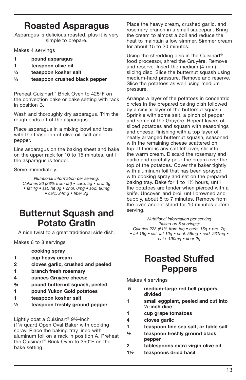## Roasted Asparagus

Asparagus is delicious roasted, plus it is very simple to prepare.

Makes 4 servings

- 1 pound asparagus
- 1 teaspoon olive oil
- ¼ teaspoon kosher salt
- ¼ teaspoon crushed black pepper

Preheat Cuisinart™ Brick Oven to 425°F on the convection bake or bake setting with rack in position B.

Wash and thoroughly dry asparagus. Trim the rough ends off of the asparagus.

Place asparagus in a mixing bowl and toss with the teaspoon of olive oil, salt and pepper.

Line asparagus on the baking sheet and bake on the upper rack for 10 to 15 minutes, until the asparagus is tender.

Serve immediately.

Nutritional information per serving: Calories 36 (28% from fat) • carb. 5g • pro. 3g • fat 1g • sat. fat 0g • chol. 0mg • sod. 86mg • calc. 24mg • fiber 2q

#### Butternut Squash and Potato Gratin

A nice twist to a great traditional side dish.

Makes 6 to 8 servings

cooking spray

- 1 cup heavy cream
- 2 cloves garlic, crushed and peeled
- 1 branch fresh rosemary
- 4 ounces Gruyère cheese
- ¾ pound butternut squash, peeled
- 1 pound Yukon Gold potatoes
- 1 teaspoon kosher salt
- ½ teaspoon freshly ground pepper

Lightly coat a Cuisinart® 9½-inch (1¼ quart) Open Oval Baker with cooking spray. Place the baking tray lined with aluminum foil on a rack in position A. Preheat the Cuisinart™ Brick Oven to 350°F on the bake setting.

Place the heavy cream, crushed garlic, and rosemary branch in a small saucepan. Bring the cream to almost a boil and reduce the heat to maintain a low simmer. Simmer cream for about 15 to 20 minutes.

Using the shredding disc in the Cuisinart® food processor, shred the Gruyère. Remove and reserve. Insert the medium (4-mm) slicing disc. Slice the butternut squash using medium-hard pressure. Remove and reserve. Slice the potatoes as well using medium pressure.

Arrange a layer of the potatoes in concentric circles in the prepared baking dish followed by a similar layer of the butternut squash. Sprinkle with some salt, a pinch of pepper and some of the Gruyère. Repeat layers of sliced potatoes and squash with seasonings and cheese, finishing with a top layer of neatly arranged butternut squash, seasoned with the remaining cheese scattered on top. If there is any salt left over, stir into the warm cream. Discard the rosemary and garlic and carefully pour the cream over the top of the potatoes. Cover the baker tightly with aluminum foil that has been sprayed with cooking spray and set on the prepared baking tray. Bake for 1 to 1½ hours, until the potatoes are tender when pierced with a knife. Uncover, and broil until browned and bubbly, about 5 to 7 minutes. Remove from the oven and let stand for 10 minutes before serving.

> Nutritional information per serving (based on 8 servings):

Calories 223 (61% from fat) • carb. 16g • pro. 7g • fat 16g • sat. fat 10g • chol. 56mg • sod. 231mg •

calc. 190mg · fiber 2g

### Roasted Stuffed **Peppers**

Makes 4 servings

- 5 medium-large red bell peppers, divided
- 1 small eggplant, peeled and cut into ½-inch dice
- 1 cup grape tomatoes
- 4 cloves garlic
- 1 teaspoon fine sea salt, or table salt
- ½ teaspoon freshly ground black pepper
- 2 tablespoons extra virgin olive oil
- 1½ teaspoons dried basil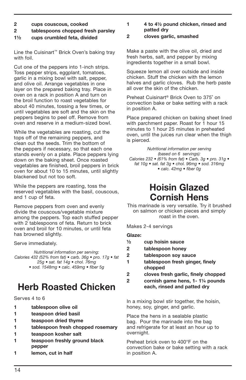- 2 cups couscous, cooked
- 2 tablespoons chopped fresh parsley
- 1½ cups crumbled feta, divided

Line the Cuisinart™ Brick Oven's baking tray with foil.

Cut one of the peppers into 1-inch strips. Toss pepper strips, eggplant, tomatoes, garlic in a mixing bowl with salt, pepper, and olive oil. Arrange vegetables in one layer on the prepared baking tray. Place in oven on a rack in position A and turn on the broil function to roast vegetables for about 40 minutes, tossing a few times, or until vegetables are soft and the skin on the peppers begins to peel off. Remove from oven and reserve in a medium-sized bowl.

While the vegetables are roasting, cut the tops off of the remaining peppers, and clean out the seeds. Trim the bottom of the peppers if necessary, so that each one stands evenly on a plate. Place peppers lying down on the baking sheet. Once roasted vegetables are finished, broil peppers in brick oven for about 10 to 15 minutes, until slightly blackened but not too soft.

While the peppers are roasting, toss the reserved vegetables with the basil, couscous, and 1 cup of feta.

Remove peppers from oven and evenly divide the couscous/vegetable mixture among the peppers. Top each stuffed pepper with 2 tablespoons of feta. Return to brick oven and broil for 10 minutes, or until feta has browned slightly.

Serve immediately.

Nutritional information per serving: Calories 432 (52% from fat) • carb. 36g • pro. 17g • fat 25g • sat. fat 14g • chol. 76mg • sod. 1548mg • calc. 459mg • fiber 5g

## Herb Roasted Chicken

Serves 4 to 6

- 1 tablespoon olive oil
- 1 teaspoon dried basil
- 1 teaspoon dried thyme
- 1 tablespoon fresh chopped rosemary
- 1 teaspoon kosher salt
- 1 teaspoon freshly ground black pepper
- 1 lemon, cut in half

1 4 to 4½ pound chicken, rinsed and patted dry

#### 2 cloves garlic, smashed

Make a paste with the olive oil, dried and fresh herbs, salt, and pepper by mixing ingredients together in a small bowl.

Squeeze lemon all over outside and inside chicken. Stuff the chicken with the lemon halves and garlic cloves. Rub the herb paste all over the skin of the chicken.

Preheat Cuisinart® Brick Oven to 375˚ on convection bake or bake setting with a rack in position A.

Place prepared chicken on baking sheet lined with parchment paper. Roast for 1 hour 15 minutes to 1 hour 25 minutes in preheated oven, until the juices run clear when the thigh is pierced.

Nutritional information per serving (based on 6 servings): Calories 232 • (61% from fat) • Carb. 3q • pro. 31q • fat 10g • sat. fat 3g • chol. 96mg • sod. 316mg • calc. 42mg • fiber 0g

## Hoisin Glazed Cornish Hens

This marinade is very versatile. Try it brushed on salmon or chicken pieces and simply roast in the oven.

Makes 2-4 servings

#### Glaze:

- ½ cup hoisin sauce
- 2 tablespoon honey
- 2 tablespoon soy sauce
- 1 tablespoon fresh ginger, finely chopped
- 2 cloves fresh garlic, finely chopped
- 2 cornish game hens, 1- 1¼ pounds each, rinsed and patted dry

In a mixing bowl stir together, the hoisin, honey, soy, ginger, and garlic.

Place the hens in a sealable plastic bag. Pour the marinade into the bag and refrigerate for at least an hour up to overnight.

Preheat brick oven to 400°F on the convection bake or bake setting with a rack in position A.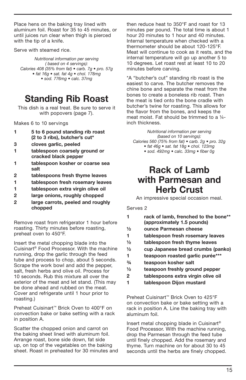Place hens on the baking tray lined with aluminum foil. Roast for 35 to 45 minutes, or until juices run clear when thigh is pierced with the tip of a knife.

Serve with steamed rice.

Nutritional information per serving ( based on 4 servings): Calories 408 (35% from fat) • carb. 7g • pro. 57g • fat 16g • sat. fat 4g • chol. 178mg • sod. 776mg • calc. 37mg

## Standing Rib Roast

This dish is a real treat. Be sure to serve it with popovers (page 7).

Makes 6 to 10 servings

- 1 5 to 6 pound standing rib roast (2 to 3 ribs), butcher's cut\*
- 3 cloves garlic, peeled
- 1 tablespoon coarsely ground or cracked black pepper
- 1 tablespoon kosher or coarse sea salt
- 2 tablespoons fresh thyme leaves
- 1 tablespoon fresh rosemary leaves
- 1 tablespoon extra virgin olive oil
- 2 large onions, roughly chopped
- 2 large carrots, peeled and roughly chopped

Remove roast from refrigerator 1 hour before roasting. Thirty minutes before roasting, preheat oven to 450°F.

Insert the metal chopping blade into the Cuisinart® Food Processor. With the machine running, drop the garlic through the feed tube and process to chop, about 5 seconds. Scrape the work bowl and add the pepper, salt, fresh herbs and olive oil. Process for 10 seconds. Rub this mixture all over the exterior of the meat and let stand. (This may be done ahead and rubbed on the meat. Cover and refrigerate until 1 hour prior to roasting.)

Preheat Cuisinart™ Brick Oven to 400°F on convection bake or bake setting with a rack in position A.

Scatter the chopped onion and carrot on the baking sheet lined with aluminum foil. Arrange roast, bone side down, fat side up, on top of the vegetables on the baking sheet. Roast in preheated for 30 minutes and then reduce heat to 350°F and roast for 13 minutes per pound. The total time is about 1 hour 20 minutes to 1 hour and 40 minutes. Internal temperature when checked with a thermometer should be about 120-125°F. Meat will continue to cook as it rests, and the internal temperature will go up another 5 to 10 degrees. Let roast rest at least 10 to 20 minutes before carving.

\*A "butcher's cut" standing rib roast is the easiest to carve. The butcher removes the chine bone and separate the meat from the bones to create a boneless rib roast. Then the meat is tied onto the bone cradle with butcher's twine for roasting. This allows for the flavor from the bones, and keeps the meat moist. Fat should be trimmed to a 1/4inch thickness.

Nutritional information per serving (based on 10 servings): Calories 560 (75% from fat) • carb. 2g • pro. 32g • fat 46g • sat. fat 18g • chol. 123mg • sod. 492mg • calc. 33mg • fiber 0g

#### Rack of Lamb with Parmesan and Herb Crust

An impressive special occasion meal.

Serves 2

| rack of lamb, frenched to the bone** |
|--------------------------------------|
| (approximately 1.5 pounds)           |

- ½ ounce Parmesan cheese
- 1 tablespoon fresh rosemary leaves
- ½ tablespoon fresh thyme leaves
- ½ cup Japanese bread crumbs (panko)
- 1 teaspoon roasted garlic purée\*\*\*
- ¾ teaspoon kosher salt
- ½ teaspoon freshly ground pepper
- 2 tablespoons extra virgin olive oil
- 1 tablespoon Dijon mustard

Preheat Cuisinart™ Brick Oven to 425°F on convection bake or bake setting with a rack in position A. Line the baking tray with aluminum foil.

Insert metal chopping blade in Cuisinart® Food Processor. With the machine running, drop the Parmesan through the feed tube until finely chopped. Add the rosemary and thyme. Turn machine on for about 30 to 45 seconds until the herbs are finely chopped.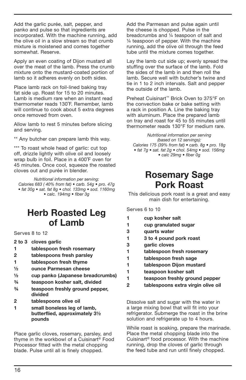Add the garlic purée, salt, pepper, and panko and pulse so that ingredients are incorporated. With the machine running, add the olive oil in a slow stream so that crumb mixture is moistened and comes together somewhat. Reserve.

Apply an even coating of Dijon mustard all over the meat of the lamb. Press the crumb mixture onto the mustard-coated portion of lamb so it adheres evenly on both sides.

Place lamb rack on foil-lined baking tray fat side up. Roast for 15 to 20 minutes. Lamb is medium rare when an instant read thermometer reads 130˚F. Remember, lamb will continue to cook about 5 extra degrees once removed from oven.

Allow lamb to rest 5 minutes before slicing and serving.

\*\* Any butcher can prepare lamb this way.

\*\*\* To roast whole head of garlic: cut top off, drizzle lightly with olive oil and loosely wrap bulb in foil. Place in a 400˚F oven for 45 minutes. Once cool, squeeze the roasted cloves out and purée in blender.

Nutritional information per serving: Calories 683 (40% from fat) • carb. 54g • pro. 47g • fat 30g • sat. fat 8g • chol. 133mg • sod. 1160mg • calc. 194mg • fiber 3g

#### Herb Roasted Leg of Lamb

Serves 8 to 12

- 2 to 3 cloves garlic
- 1 tablespoon fresh rosemary
- 2 tablespoons fresh parsley
- 1 tablespoon fresh thyme
- ½ ounce Parmesan cheese
- ½ cup panko (Japanese breadcrumbs)
- ¾ teaspoon kosher salt, divided
- ¾ teaspoon freshly ground pepper, divided
- 2 tablespoons olive oil
- 1 small boneless leg of lamb, butterflied, approximately 3½ pounds

Place garlic cloves, rosemary, parsley, and thyme in the workbowl of a Cuisinart® Food Processor fitted with the metal chopping blade. Pulse until all is finely chopped.

Add the Parmesan and pulse again until the cheese is chopped. Pulse in the breadcrumbs and ¼ teaspoon of salt and ¼ teaspoon of pepper. With the machine running, add the olive oil through the feed tube until the mixture comes together.

Lay the lamb cut side up; evenly spread the stuffing over the surface of the lamb. Fold the sides of the lamb in and then roll the lamb. Secure well with butcher's twine and tie in 1 to 2 inch intervals. Salt and pepper the outside of the lamb.

Preheat Cuisinart™ Brick Oven to 375°F on the convection bake or bake setting with a rack in position A. Line the baking tray with aluminum. Place the prepared lamb on tray and roast for 45 to 55 minutes until thermometer reads 130°F for medium rare.

Nutritional information per serving (based on 12 servings): Calories 175 (39% from fat) • carb. 8g • pro. 18g • fat 7g • sat. fat 2g • chol. 54mg • sod. 156mg • calc 29mg • fiber 0g

#### Rosemary Sage Pork Roast

This delicious pork roast is a great and easy main dish for entertaining.

Serves 6 to 10

- 1 cup kosher salt
- 1 cup granulated sugar
- 3 quarts water
- 1 3 to 4 pound pork roast
- 3 garlic cloves
- 1 tablespoon fresh rosemary
- 1 tablespoon fresh sage
- 1 tablespoon Dijon mustard
- 1 teaspoon kosher salt
- 1 teaspoon freshly ground pepper
- 2 tablespoons extra virgin olive oil

Dissolve salt and sugar with the water in a large mixing bowl that will fit into your refrigerator. Submerge the roast in the brine solution and refrigerate up to 4 hours.

While roast is soaking, prepare the marinade. Place the metal chopping blade into the Cuisinart® food processor. With the machine running, drop the cloves of garlic through the feed tube and run until finely chopped.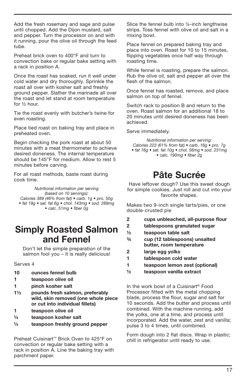Add the fresh rosemary and sage and pulse until chopped. Add the Dijon mustard, salt and pepper. Turn the processor on and with it running, pour the olive oil through the feed tube.

Preheat brick oven to 400°F and turn to convection bake or regular bake setting with a rack in position A.

Once the roast has soaked, run it well under cold water and dry thoroughly. Sprinkle the roast all over with kosher salt and freshly ground pepper. Slather the marinade all over the roast and let stand at room temperature for ½ hour.

Tie the roast evenly with butcher's twine for even roasting.

Place tied roast on baking tray and place in preheated oven.

Begin checking the pork roast at about 50 minutes with a meat thermometer to achieve desired doneness. The internal temperature should be 145°F for medium. Allow to rest 5 minutes before carving.

For all roast methods, baste roast during cook time.

Nutritional information per serving (based on 10 servings): Calories 389 (46% from fat) • carb. 1g • pro. 50g • fat 19g • sat. fat 6g • chol. 143mg • sod. 289mg • calc. 51mg • fiber 0g

#### Simply Roasted Salmon and Fennel

Don't let the simple preparation of the salmon fool you - it is really delicious!

Serves 4

- 10 ounces fennel bulb
- 1 teaspoon olive oil
- 1 pinch kosher salt
- 1½ pounds fresh salmon, preferably wild, skin removed (one whole piece or cut into individual fillets)
- 1 teaspoon olive oil
- ¼ teaspoon kosher salt
- ¼ teaspoon freshly ground pepper

Preheat Cuisinart™ Brick Oven to 425°F on convection or regular bake setting with a rack in position A. Line the baking tray with parchment paper.

Slice the fennel bulb into ¼-inch lengthwise strips. Toss fennel with olive oil and salt in a mixing bowl.

Place fennel on prepared baking tray and place into oven. Roast for 10 to 15 minutes, flipping vegetables once half way through roasting time.

While fennel is roasting, prepare the salmon. Rub the olive oil, salt and pepper all over the flesh of the salmon.

Once fennel has roasted, remove, and place salmon on top of fennel.

Switch rack to position B and return to the oven. Roast salmon for an additional 18 to 20 minutes until desired doneness has been achieved.

Serve immediately.

Nutritional information per serving: Calories 223 (61% from fat) • carb. 16g • pro. 7g • fat 16g • sat. fat 10g • chol. 56mg • sod. 231mg • calc. 190mg • fiber 2g

## Pâte Sucrée

Have leftover dough? Use this sweet dough for simple cookies. Just roll and cut into your favorite shapes.

Makes two 9-inch single tarts/pies, or one double-crusted pie

- 2 cups unbleached, all-purpose flour
- 2 tablespoons granulated sugar
- ½ teaspoon table salt
- ¾ cup (12 tablespoons) unsalted butter, room temperature
- 2 large egg yolks
- 1 tablespoon cold water
- 1 teaspoon lemon zest (optional)
- ½ teaspoon vanilla extract

In the work bowl of a Cuisinart® Food Processor fitted with the metal chopping blade, process the flour, sugar and salt for 10 seconds. Add the butter and process until combined. With the machine running, add the yolks, one at a time, and process until incorporated. Add the water, zest and vanilla; pulse 3 to 4 times, until combined.

Form dough into 2 flat discs. Wrap in plastic; chill in refrigerator until ready to use.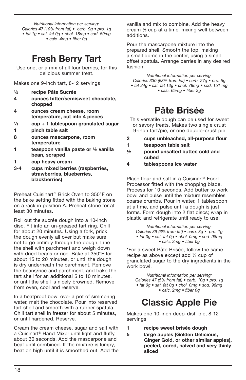Nutritional information per serving: Calories 47 (10% from fat) • carb. 9g • pro. 1g • fat 1g • sat. fat 0g • chol. 18mg • sod. 50mg • calc. 4mg • fiber 0g

## Fresh Berry Tart

Use one, or a mix of all four berries, for this delicious summer treat.

Makes one 9-inch tart, 8-12 servings

- ½ recipe Pâte Sucrée
- 4 ounces bitter/semisweet chocolate, chopped
- 4 ounces cream cheese, room temperature, cut into 4 pieces
- $\frac{1}{3}$  cup + 1 tablespoon granulated sugar
- 1 pinch table salt
- 8 ounces mascarpone, room temperature
- 1 teaspoon vanilla paste or ½ vanilla bean, scraped
- 1 cup heavy cream
- 3-4 cups mixed berries (raspberries, strawberries, blueberries, blackberries)

Preheat Cuisinart™ Brick Oven to 350°F on the bake setting fitted with the baking stone on a rack in position A. Preheat stone for at least 30 minutes.

Roll out the sucrée dough into a 10-inch disc. Fit into an un-greased tart ring. Chill for about 20 minutes. Using a fork, prick the dough evenly all over but make sure not to go entirely through the dough. Line the shell with parchment and weigh down with dried beans or rice. Bake at 350°F for about 15 to 20 minutes, or until the dough is dry underneath the parchment. Remove the beans/rice and parchment, and bake the tart shell for an additional 5 to 10 minutes, or until the shell is nicely browned. Remove from oven, cool and reserve.

In a heatproof bowl over a pot of simmering water, melt the chocolate. Pour into reserved tart shell and smooth with a rubber spatula. Chill tart shell in freezer for about 5 minutes, or until hardened. Reserve.

Cream the cream cheese, sugar and salt with a Cuisinart® Hand Mixer until light and fluffy, about 30 seconds. Add the mascarpone and beat until combined. If the mixture is lumpy, beat on high until it is smoothed out. Add the vanilla and mix to combine. Add the heavy cream 1⁄3 cup at a time, mixing well between additions.

Pour the mascarpone mixture into the prepared shell. Smooth the top, making a small dome in the center, using a small offset spatula. Arrange berries in any desired fashion.

Nutritional information per serving: Calories 330 (63% from fat) • carb. 27g • pro. 5g • fat 24g • sat. fat 13g • chol. 78mg • sod. 151 mg

• calc. 65mg • fiber 3g

## Pâte Brisée

This versatile dough can be used for sweet or savory treats. Makes two single crust 9-inch tart/pie, or one double-crust pie

- 2 cups unbleached, all-purpose flour
- 1 teaspoon table salt
- ½ pound unsalted butter, cold and cubed
- 4 tablespoons ice water

Place flour and salt in a Cuisinart® Food Processor fitted with the chopping blade. Process for 10 seconds. Add butter to work bowl and pulse until the mixture resembles coarse crumbs. Pour in water, 1 tablespoon at a time, and pulse until a dough is just forms. Form dough into 2 flat discs; wrap in plastic and refrigerate until ready to use.

Nutritional information per serving: Calories 39 (6% from fat) • carb. 8g • pro. 1g • fat 0g • sat. fat 0g • chol. 0mg • sod. 98mg • calc. 2mg • fiber 0g

\*For a sweet Pâte Brisée, follow the same recipe as above except add ¼ cup of granulated sugar to the dry ingredients in the work bowl.

Nutritional information per serving: Calories 47 (5% from fat) • carb. 10g • pro. 1g • fat 0g • sat. fat 0g • chol. 0mg • sod. 98mg • calc. 2mg • fiber 0g

## Classic Apple Pie

Makes one 10-inch deep-dish pie, 8-12 servings

- 1 recipe sweet brisée dough
- 5 large apples (Golden Delicious, Ginger Gold, or other similar apples), peeled, cored, halved and very thinly sliced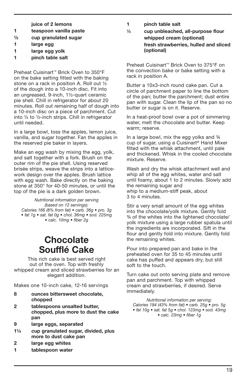juice of 2 lemons

- 1 teaspoon vanilla paste
- ½ cup granulated sugar
- 1 large egg
- 1 large egg yolk
- 1 pinch table salt

Preheat Cuisinart™ Brick Oven to 350°F on the bake setting fitted with the baking stone on a rack in position A. Roll out ½ of the dough into a 10-inch disc. Fit into an ungreased, 9-inch, 1½-quart ceramic pie shell. Chill in refrigerator for about 20 minutes. Roll out remaining half of dough into a 10-inch disc on a piece of parchment. Cut into ¼ to ½-inch strips. Chill in refrigerator until needed.

In a large bowl, toss the apples, lemon juice, vanilla, and sugar together. Fan the apples in the reserved pie baker in layers.

Make an egg wash by mixing the egg, yolk, and salt together with a fork. Brush on the outer rim of the pie shell. Using reserved brisée strips, weave the strips into a latticework design over the apples. Brush lattice with egg wash. Bake directly on the baking stone at 350° for 40-50 minutes, or until the top of the pie is a dark golden brown.

Nutritional information per serving (based on 12 servings): Calories 166 (8% from fat) • carb. 36g • pro. 3g • fat 1g • sat. fat 0g • chol. 36mg • sod. 225mg • calc. 10mg • fiber 2g

### **Chocolate** Soufflé Cake

This rich cake is best served right out of the oven. Top with freshly whipped cream and sliced strawberries for an elegant addition.

Makes one 10-inch cake, 12-16 servings

- 8 ounces bittersweet chocolate, chopped
- 2 tablespoons unsalted butter, chopped, plus more to dust the cake pan
- 9 large eggs, separated
- 1¼ cup granulated sugar, divided, plus more to dust cake pan
- 2 large egg whites
- 1 tablespoon water
- 1 pinch table salt
- 1⁄3 cup unbleached, all-purpose flour whipped cream (optional) fresh strawberries, hulled and sliced (optional)

Preheat Cuisinart™ Brick Oven to 375°F on the convection bake or bake setting with a rack in position A.

Butter a 10x3-inch round cake pan. Cut a circle of parchment paper to line the bottom of the pan; butter the parchment; dust entire pan with sugar. Clean the lip of the pan so no butter or sugar is on it. Reserve.

In a heat-proof bowl over a pot of simmering water, melt the chocolate and butter. Keep warm; reserve.

In a large bowl, mix the egg yolks and ¾ cup of sugar, using a Cuisinart® Hand Mixer fitted with the whisk attachment, until pale and thickened. Whisk in the cooled chocolate mixture. Reserve.

Wash and dry the whisk attachment well and whip all of the egg whites, water and salt until foamy, about 1 to 2 minutes. Slowly add the remaining sugar and whip to a medium-stiff peak, about 3 to 4 minutes.

Stir a very small amount of the egg whites into the chocolate/yolk mixture. Gently fold ¾ of the whites into the lightened chocolate/ yolk mixture using a large rubber spatula until the ingredients are incorporated. Sift in the flour and gently fold into mixture. Gently fold the remaining whites.

Pour into prepared pan and bake in the preheated oven for 35 to 45 minutes until cake has puffed and appears dry, but still soft to the touch.

Turn cake out onto serving plate and remove pan and parchment. Top with whipped cream and strawberries, if desired. Serve immediately.

Nutritional information per serving: Calories 194 (43% from fat)  $\bullet$  carb. 25g  $\bullet$  pro. 5g • fat 10g • sat. fat 5g • chol. 123mg • sod. 43mg • calc. 23mg • fiber 1g